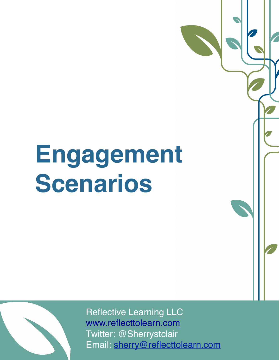## **Engagement Scenarios**



Reflective Learning LLC [www.reflecttolearn.com](http://www.reflecttolearn.com) Twitter: @Sherrystclair Email: [sherry@reflecttolearn.com](mailto:sherry@reflecttolearn.com)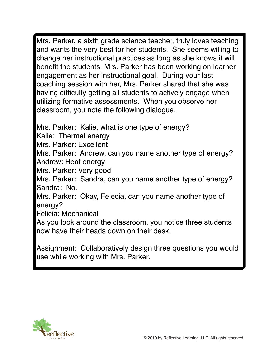Mrs. Parker, a sixth grade science teacher, truly loves teaching and wants the very best for her students. She seems willing to change her instructional practices as long as she knows it will benefit the students. Mrs. Parker has been working on learner engagement as her instructional goal. During your last coaching session with her, Mrs. Parker shared that she was having difficulty getting all students to actively engage when utilizing formative assessments. When you observe her classroom, you note the following dialogue.

Mrs. Parker: Kalie, what is one type of energy?

Kalie: Thermal energy

Mrs. Parker: Excellent

Mrs. Parker: Andrew, can you name another type of energy? Andrew: Heat energy

Mrs. Parker: Very good

Mrs. Parker: Sandra, can you name another type of energy? Sandra: No.

Mrs. Parker: Okay, Felecia, can you name another type of energy?

Felicia: Mechanical

As you look around the classroom, you notice three students now have their heads down on their desk.

Assignment: Collaboratively design three questions you would use while working with Mrs. Parker.

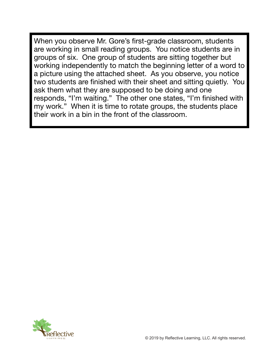When you observe Mr. Gore's first-grade classroom, students are working in small reading groups. You notice students are in groups of six. One group of students are sitting together but working independently to match the beginning letter of a word to a picture using the attached sheet. As you observe, you notice two students are finished with their sheet and sitting quietly. You ask them what they are supposed to be doing and one responds, "I'm waiting." The other one states, "I'm finished with my work." When it is time to rotate groups, the students place their work in a bin in the front of the classroom.